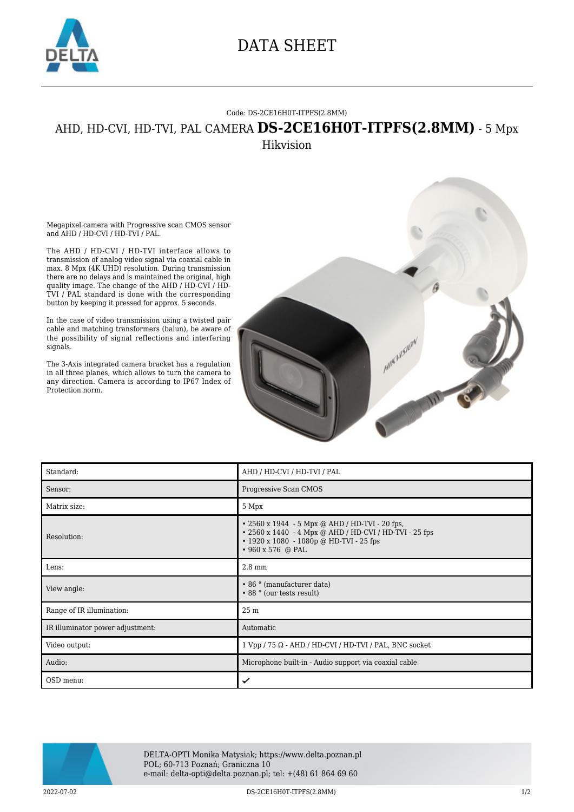

## DATA SHEET

## Code: DS-2CE16H0T-ITPFS(2.8MM)

## AHD, HD-CVI, HD-TVI, PAL CAMERA **DS-2CE16H0T-ITPFS(2.8MM)** - 5 Mpx Hikvision

Megapixel camera with Progressive scan CMOS sensor and AHD / HD-CVI / HD-TVI / PAL.

The AHD / HD-CVI / HD-TVI interface allows to transmission of analog video signal via coaxial cable in max. 8 Mpx (4K UHD) resolution. During transmission there are no delays and is maintained the original, high quality image. The change of the AHD / HD-CVI / HD-TVI / PAL standard is done with the corresponding button by keeping it pressed for approx. 5 seconds.

In the case of video transmission using a twisted pair cable and matching transformers (balun), be aware of the possibility of signal reflections and interfering signals.

The 3-Axis integrated camera bracket has a regulation in all three planes, which allows to turn the camera to any direction. Camera is according to IP67 Index of Protection norm.



| Standard:                        | AHD / HD-CVI / HD-TVI / PAL                                                                                                                                                          |
|----------------------------------|--------------------------------------------------------------------------------------------------------------------------------------------------------------------------------------|
| Sensor:                          | Progressive Scan CMOS                                                                                                                                                                |
| Matrix size:                     | 5 Mpx                                                                                                                                                                                |
| Resolution:                      | • 2560 x 1944 - 5 Mpx @ AHD / HD-TVI - 20 fps,<br>• 2560 x 1440 - 4 Mpx @ AHD / HD-CVI / HD-TVI - 25 fps<br>$\cdot$ 1920 x 1080 - 1080p @ HD-TVI - 25 fps<br>$\cdot$ 960 x 576 @ PAL |
| Lens:                            | $2.8 \text{ mm}$                                                                                                                                                                     |
|                                  |                                                                                                                                                                                      |
| View angle:                      | • 86 ° (manufacturer data)<br>• 88 ° (our tests result)                                                                                                                              |
| Range of IR illumination:        | 25 m                                                                                                                                                                                 |
| IR illuminator power adjustment: | Automatic                                                                                                                                                                            |
| Video output:                    | $1 Vpp / 75 \Omega$ - AHD / HD-CVI / HD-TVI / PAL, BNC socket                                                                                                                        |
| Audio:                           | Microphone built-in - Audio support via coaxial cable                                                                                                                                |



DELTA-OPTI Monika Matysiak; https://www.delta.poznan.pl POL; 60-713 Poznań; Graniczna 10 e-mail: delta-opti@delta.poznan.pl; tel: +(48) 61 864 69 60